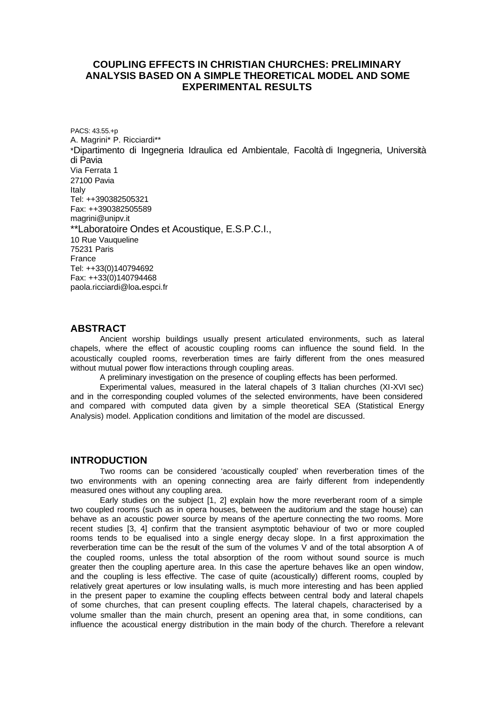# **COUPLING EFFECTS IN CHRISTIAN CHURCHES: PRELIMINARY ANALYSIS BASED ON A SIMPLE THEORETICAL MODEL AND SOME EXPERIMENTAL RESULTS**

PACS: 43.55.+p A. Magrini\* P. Ricciardi\*\* \*Dipartimento di Ingegneria Idraulica ed Ambientale, Facoltà di Ingegneria, Università di Pavia Via Ferrata 1 27100 Pavia Italy Tel: ++390382505321 Fax: ++390382505589 magrini@unipv.it \*\*Laboratoire Ondes et Acoustique, E.S.P.C.I., 10 Rue Vauqueline 75231 Paris France Tel: ++33(0)140794692 Fax: ++33(0)140794468 paola.ricciardi@loa**.**espci.fr

### **ABSTRACT**

Ancient worship buildings usually present articulated environments, such as lateral chapels, where the effect of acoustic coupling rooms can influence the sound field. In the acoustically coupled rooms, reverberation times are fairly different from the ones measured without mutual power flow interactions through coupling areas.

A preliminary investigation on the presence of coupling effects has been performed.

Experimental values, measured in the lateral chapels of 3 Italian churches (XI-XVI sec) and in the corresponding coupled volumes of the selected environments, have been considered and compared with computed data given by a simple theoretical SEA (Statistical Energy Analysis) model. Application conditions and limitation of the model are discussed.

#### **INTRODUCTION**

Two rooms can be considered 'acoustically coupled' when reverberation times of the two environments with an opening connecting area are fairly different from independently measured ones without any coupling area.

Early studies on the subject [1, 2] explain how the more reverberant room of a simple two coupled rooms (such as in opera houses, between the auditorium and the stage house) can behave as an acoustic power source by means of the aperture connecting the two rooms. More recent studies [3, 4] confirm that the transient asymptotic behaviour of two or more coupled rooms tends to be equalised into a single energy decay slope. In a first approximation the reverberation time can be the result of the sum of the volumes V and of the total absorption A of the coupled rooms, unless the total absorption of the room without sound source is much greater then the coupling aperture area. In this case the aperture behaves like an open window, and the coupling is less effective. The case of quite (acoustically) different rooms, coupled by relatively great apertures or low insulating walls, is much more interesting and has been applied in the present paper to examine the coupling effects between central body and lateral chapels of some churches, that can present coupling effects. The lateral chapels, characterised by a volume smaller than the main church, present an opening area that, in some conditions, can influence the acoustical energy distribution in the main body of the church. Therefore a relevant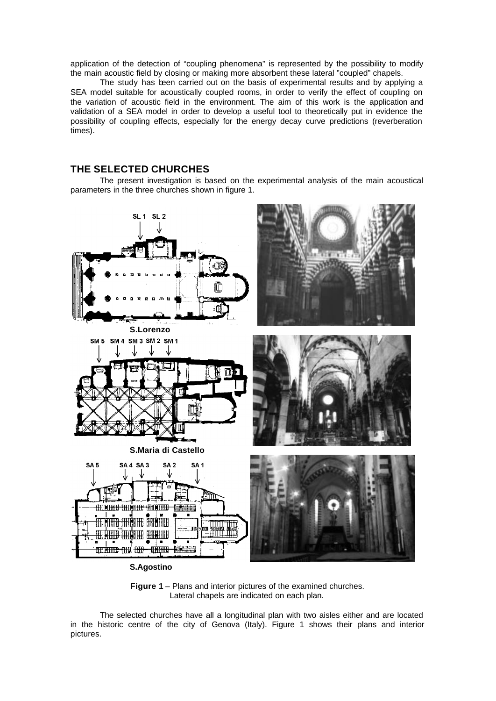application of the detection of "coupling phenomena" is represented by the possibility to modify the main acoustic field by closing or making more absorbent these lateral "coupled" chapels.

The study has been carried out on the basis of experimental results and by applying a SEA model suitable for acoustically coupled rooms, in order to verify the effect of coupling on the variation of acoustic field in the environment. The aim of this work is the application and validation of a SEA model in order to develop a useful tool to theoretically put in evidence the possibility of coupling effects, especially for the energy decay curve predictions (reverberation times).

# **THE SELECTED CHURCHES**

The present investigation is based on the experimental analysis of the main acoustical parameters in the three churches shown in figure 1.





The selected churches have all a longitudinal plan with two aisles either and are located in the historic centre of the city of Genova (Italy). Figure 1 shows their plans and interior pictures.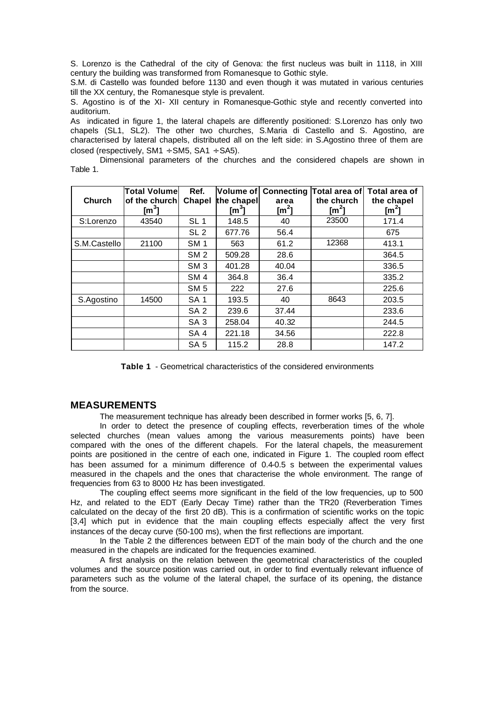S. Lorenzo is the Cathedral of the city of Genova: the first nucleus was built in 1118, in XIII century the building was transformed from Romanesque to Gothic style.

S.M. di Castello was founded before 1130 and even though it was mutated in various centuries till the XX century, the Romanesque style is prevalent.

S. Agostino is of the XI- XII century in Romanesque-Gothic style and recently converted into auditorium.

As indicated in figure 1, the lateral chapels are differently positioned: S.Lorenzo has only two chapels (SL1, SL2). The other two churches, S.Maria di Castello and S. Agostino, are characterised by lateral chapels, distributed all on the left side: in S.Agostino three of them are closed (respectively,  $SM1 \div SM5$ ,  $SA1 \div SA5$ ).

Dimensional parameters of the churches and the considered chapels are shown in Table 1.

| <b>Church</b> | <b>Total Volume</b><br>of the church<br>[m $^3$ ] | Ref.<br>Chapel  | Volume of<br>the chapel<br>$\mathsf{Im}^3$ l | area<br>[m <sup>2</sup> ] | <b>Connecting Total area of</b><br>the church<br>$\text{Im}^2$ | Total area of<br>the chapel<br>$\mathsf{Im}^2$ |
|---------------|---------------------------------------------------|-----------------|----------------------------------------------|---------------------------|----------------------------------------------------------------|------------------------------------------------|
| S:Lorenzo     | 43540                                             | SL <sub>1</sub> | 148.5                                        | 40                        | 23500                                                          | 171.4                                          |
|               |                                                   | SL <sub>2</sub> | 677.76                                       | 56.4                      |                                                                | 675                                            |
| S.M.Castello  | 21100                                             | SM <sub>1</sub> | 563                                          | 61.2                      | 12368                                                          | 413.1                                          |
|               |                                                   | SM <sub>2</sub> | 509.28                                       | 28.6                      |                                                                | 364.5                                          |
|               |                                                   | SM <sub>3</sub> | 401.28                                       | 40.04                     |                                                                | 336.5                                          |
|               |                                                   | SM <sub>4</sub> | 364.8                                        | 36.4                      |                                                                | 335.2                                          |
|               |                                                   | SM <sub>5</sub> | 222                                          | 27.6                      |                                                                | 225.6                                          |
| S.Agostino    | 14500                                             | SA <sub>1</sub> | 193.5                                        | 40                        | 8643                                                           | 203.5                                          |
|               |                                                   | SA <sub>2</sub> | 239.6                                        | 37.44                     |                                                                | 233.6                                          |
|               |                                                   | SA <sub>3</sub> | 258.04                                       | 40.32                     |                                                                | 244.5                                          |
|               |                                                   | SA <sub>4</sub> | 221.18                                       | 34.56                     |                                                                | 222.8                                          |
|               |                                                   | SA <sub>5</sub> | 115.2                                        | 28.8                      |                                                                | 147.2                                          |

**Table 1** - Geometrical characteristics of the considered environments

### **MEASUREMENTS**

The measurement technique has already been described in former works [5, 6, 7].

In order to detect the presence of coupling effects, reverberation times of the whole selected churches (mean values among the various measurements points) have been compared with the ones of the different chapels. For the lateral chapels, the measurement points are positioned in the centre of each one, indicated in Figure 1. The coupled room effect has been assumed for a minimum difference of 0.4-0.5 s between the experimental values measured in the chapels and the ones that characterise the whole environment. The range of frequencies from 63 to 8000 Hz has been investigated.

The coupling effect seems more significant in the field of the low frequencies, up to 500 Hz, and related to the EDT (Early Decay Time) rather than the TR20 (Reverberation Times calculated on the decay of the first 20 dB). This is a confirmation of scientific works on the topic [3,4] which put in evidence that the main coupling effects especially affect the very first instances of the decay curve (50-100 ms), when the first reflections are important.

In the Table 2 the differences between EDT of the main body of the church and the one measured in the chapels are indicated for the frequencies examined.

A first analysis on the relation between the geometrical characteristics of the coupled volumes and the source position was carried out, in order to find eventually relevant influence of parameters such as the volume of the lateral chapel, the surface of its opening, the distance from the source.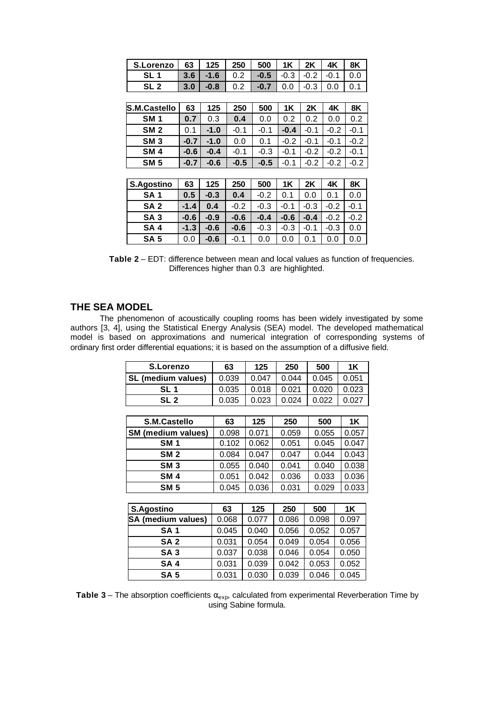| <b>S.Lorenzo</b>    | 63     | 125    | 250    | 500    | 1K     | 2K     | 4K     | 8K     |
|---------------------|--------|--------|--------|--------|--------|--------|--------|--------|
| SL 1                | 3.6    | $-1.6$ | 0.2    | $-0.5$ | $-0.3$ | $-0.2$ | $-0.1$ | 0.0    |
| SL <sub>2</sub>     | 3.0    | $-0.8$ | 0.2    | $-0.7$ | 0.0    | $-0.3$ | 0.0    | 0.1    |
|                     |        |        |        |        |        |        |        |        |
| <b>S.M.Castello</b> | 63     | 125    | 250    | 500    | 1K     | 2K     | 4K     | 8K     |
| SM <sub>1</sub>     | 0.7    | 0.3    | 0.4    | 0.0    | 0.2    | 0.2    | 0.0    | 0.2    |
| SM <sub>2</sub>     | 0.1    | $-1.0$ | $-0.1$ | $-0.1$ | $-0.4$ | $-0.1$ | $-0.2$ | $-0.1$ |
| SM <sub>3</sub>     | $-0.7$ | $-1.0$ | 0.0    | 0.1    | $-0.2$ | $-0.1$ | $-0.1$ | $-0.2$ |
| SM <sub>4</sub>     | $-0.6$ | $-0.4$ | $-0.1$ | $-0.3$ | $-0.1$ | $-0.2$ | $-0.2$ | $-0.1$ |
| <b>SM 5</b>         | $-0.7$ | $-0.6$ | $-0.5$ | $-0.5$ | $-0.1$ | $-0.2$ | $-0.2$ | $-0.2$ |
|                     |        |        |        |        |        |        |        |        |
| S.Agostino          | 63     | 125    | 250    | 500    | 1K     | 2K     | 4K     | 8K     |
| SA <sub>1</sub>     | 0.5    | $-0.3$ | 0.4    | $-0.2$ | 0.1    | 0.0    | 0.1    | 0.0    |
| SA <sub>2</sub>     | $-1.4$ | 0.4    | $-0.2$ | $-0.3$ | $-0.1$ | $-0.3$ | $-0.2$ | $-0.1$ |
| SA <sub>3</sub>     | $-0.6$ | $-0.9$ | $-0.6$ | $-0.4$ | $-0.6$ | $-0.4$ | $-0.2$ | $-0.2$ |
| SA <sub>4</sub>     | $-1.3$ | $-0.6$ | $-0.6$ | -0.3   | $-0.3$ | $-0.1$ | $-0.3$ | 0.0    |
| SA <sub>5</sub>     | 0.0    | $-0.6$ | $-0.1$ | 0.0    | 0.0    | 0.1    | 0.0    | 0.0    |

**Table 2** – EDT: difference between mean and local values as function of frequencies. Differences higher than 0.3 are highlighted.

# **THE SEA MODEL**

The phenomenon of acoustically coupling rooms has been widely investigated by some authors [3, 4], using the Statistical Energy Analysis (SEA) model. The developed mathematical model is based on approximations and numerical integration of corresponding systems of ordinary first order differential equations; it is based on the assumption of a diffusive field.

| S.Lorenzo                 | 63                   | 125   | 250   | 500        | <b>1K</b> |
|---------------------------|----------------------|-------|-------|------------|-----------|
| SL (medium values)        | 0.039                | 0.047 | 0.044 | 0.045      | 0.051     |
| SL <sub>1</sub>           | 0.035                | 0.018 | 0.021 | 0.020      | 0.023     |
| SL <sub>2</sub>           | 0.035                | 0.023 | 0.024 | 0.022      | 0.027     |
|                           |                      |       |       |            |           |
| S.M.Castello              | 63                   | 125   | 250   | 500        | 1K        |
| <b>SM</b> (medium values) | 0.098                | 0.071 | 0.059 | 0.055      | 0.057     |
| <b>SM1</b>                | 0.102                | 0.062 | 0.051 | 0.045      | 0.047     |
| <b>SM 2</b>               | 0.084                | 0.047 | 0.047 | 0.044      | 0.043     |
| SM <sub>3</sub>           | 0.055                | 0.040 | 0.041 | 0.040      | 0.038     |
| <b>SM4</b>                | 0.051                | 0.042 | 0.036 | 0.033      | 0.036     |
| SM <sub>5</sub>           | 0.045                | 0.036 | 0.031 | 0.029      | 0.033     |
|                           |                      |       |       |            |           |
| <b>C</b> Appeting         | <b>C<sub>2</sub></b> | ィクド   | つにへ   | <b>ENN</b> | 1 LZ      |

| <b>S.Agostino</b>         | 63    | 125   | 250   | 500   | 1K    |
|---------------------------|-------|-------|-------|-------|-------|
| <b>SA</b> (medium values) | 0.068 | 0.077 | 0.086 | 0.098 | 0.097 |
| SA <sub>1</sub>           | 0.045 | 0.040 | 0.056 | 0.052 | 0.057 |
| SA <sub>2</sub>           | 0.031 | 0.054 | 0.049 | 0.054 | 0.056 |
| <b>SA3</b>                | 0.037 | 0.038 | 0.046 | 0.054 | 0.050 |
| <b>SA4</b>                | 0.031 | 0.039 | 0.042 | 0.053 | 0.052 |
| SA <sub>5</sub>           | 0.031 | 0.030 | 0.039 | 0.046 | 0.045 |

**Table 3** – The absorption coefficients  $\alpha_{exp}$ , calculated from experimental Reverberation Time by using Sabine formula.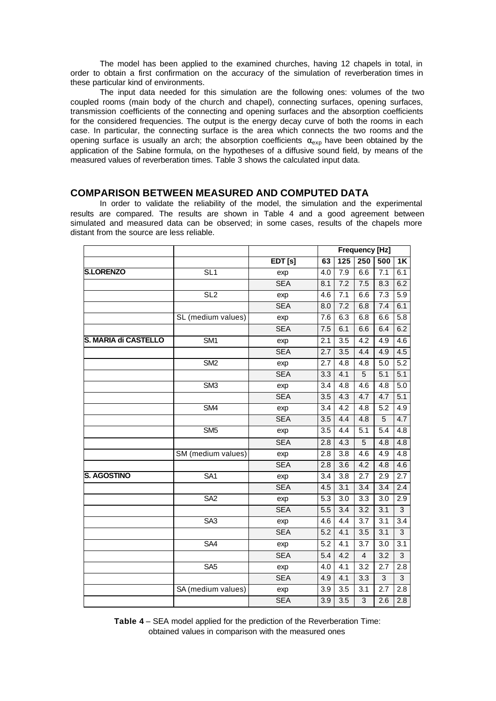The model has been applied to the examined churches, having 12 chapels in total, in order to obtain a first confirmation on the accuracy of the simulation of reverberation times in these particular kind of environments.

The input data needed for this simulation are the following ones: volumes of the two coupled rooms (main body of the church and chapel), connecting surfaces, opening surfaces, transmission coefficients of the connecting and opening surfaces and the absorption coefficients for the considered frequencies. The output is the energy decay curve of both the rooms in each case. In particular, the connecting surface is the area which connects the two rooms and the opening surface is usually an arch; the absorption coefficients  $\alpha_{exp}$  have been obtained by the application of the Sabine formula, on the hypotheses of a diffusive sound field, by means of the measured values of reverberation times. Table 3 shows the calculated input data.

#### **COMPARISON BETWEEN MEASURED AND COMPUTED DATA**

In order to validate the reliability of the model, the simulation and the experimental results are compared. The results are shown in Table 4 and a good agreement between simulated and measured data can be observed; in some cases, results of the chapels more distant from the source are less reliable.

|                      |                         |            |                  | <b>Frequency [Hz]</b> |                  |                  |                  |
|----------------------|-------------------------|------------|------------------|-----------------------|------------------|------------------|------------------|
|                      |                         | EDT[s]     | 63               | $\overline{125}$      | 250              | 500              | $\overline{1K}$  |
| <b>S.LORENZO</b>     | SL1                     | exp        | 4.0              | 7.9                   | 6.6              | 7.1              | 6.1              |
|                      |                         | <b>SEA</b> | 8.1              | 7.2                   | 7.5              | 8.3              | 6.2              |
|                      | SL <sub>2</sub>         | exp        | 4.6              | $\overline{7.1}$      | 6.6              | 7.3              | $\overline{5.9}$ |
|                      |                         | <b>SEA</b> | 8.0              | 7.2                   | 6.8              | 7.4              | 6.1              |
|                      | SL (medium values)      | exp        | 7.6              | 6.3                   | 6.8              | 6.6              | 5.8              |
|                      |                         | <b>SEA</b> | 7.5              | 6.1                   | 6.6              | 6.4              | 6.2              |
| S. MARIA di CASTELLO | SM <sub>1</sub>         | exp        | 2.1              | $\overline{3.5}$      | 4.2              | 4.9              | 4.6              |
|                      |                         | <b>SEA</b> | 2.7              | 3.5                   | 4.4              | 4.9              | 4.5              |
|                      | $\overline{\text{SM2}}$ | exp        | 2.7              | 4.8                   | 4.8              | 5.0              | 5.2              |
|                      |                         | <b>SEA</b> | 3.3              | 4.1                   | $\overline{5}$   | 5.1              | 5.1              |
|                      | $\overline{\text{SM3}}$ | exp        | 3.4              | 4.8                   | 4.6              | 4.8              | $\overline{5.0}$ |
|                      |                         | <b>SEA</b> | 3.5              | 4.3                   | 4.7              | 4.7              | 5.1              |
|                      | SM4                     | exp        | 3.4              | 4.2                   | 4.8              | 5.2              | 4.9              |
|                      |                         | <b>SEA</b> | 3.5              | 4.4                   | 4.8              | 5                | 4.7              |
|                      | $\overline{\text{SM5}}$ | exp        | 3.5              | 4.4                   | $\overline{5.1}$ | $\overline{5.4}$ | 4.8              |
|                      |                         | <b>SEA</b> | 2.8              | 4.3                   | $\overline{5}$   | 4.8              | 4.8              |
|                      | SM (medium values)      | exp        | 2.8              | 3.8                   | 4.6              | 4.9              | 4.8              |
|                      |                         | <b>SEA</b> | 2.8              | 3.6                   | 4.2              | 4.8              | 4.6              |
| <b>S. AGOSTINO</b>   | SA <sub>1</sub>         | exp        | 3.4              | $\overline{3.8}$      | 2.7              | 2.9              | 2.7              |
|                      |                         | <b>SEA</b> | 4.5              | 3.1                   | 3.4              | 3.4              | 2.4              |
|                      | SA <sub>2</sub>         | exp        | 5.3              | 3.0                   | $\overline{3.3}$ | 3.0              | $\overline{2.9}$ |
|                      |                         | <b>SEA</b> | 5.5              | $\overline{3.4}$      | 3.2              | 3.1              | $\overline{3}$   |
|                      | SA3                     | exp        | 4.6              | $\overline{4.4}$      | 3.7              | 3.1              | 3.4              |
|                      |                         | <b>SEA</b> | 5.2              | 4.1                   | 3.5              | 3.1              | $\overline{3}$   |
|                      | SA4                     | exp        | $\overline{5.2}$ | $\overline{4.1}$      | 3.7              | 3.0              | 3.1              |
|                      |                         | <b>SEA</b> | 5.4              | 4.2                   | $\overline{4}$   | 3.2              | $\overline{3}$   |
|                      | SA <sub>5</sub>         | exp        | 4.0              | 4.1                   | $\overline{3.2}$ | 2.7              | $\overline{2.8}$ |
|                      |                         | <b>SEA</b> | 4.9              | 4.1                   | 3.3              | 3                | 3                |
|                      | SA (medium values)      | exp        | 3.9              | 3.5                   | 3.1              | 2.7              | 2.8              |
|                      |                         | <b>SEA</b> | $\overline{3.9}$ | 3.5                   | $\overline{3}$   | $\overline{2.6}$ | 2.8              |

**Table 4** – SEA model applied for the prediction of the Reverberation Time: obtained values in comparison with the measured ones